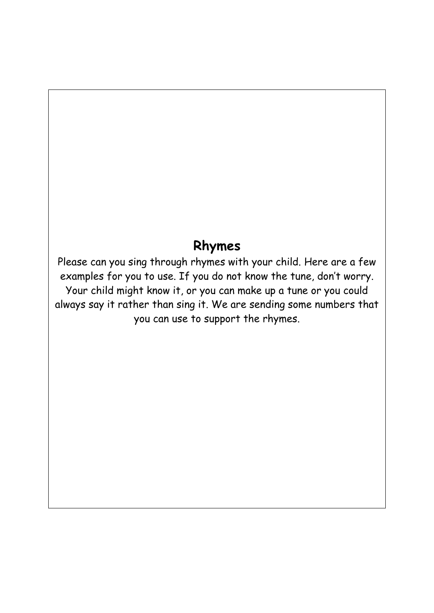## **Rhymes**

Please can you sing through rhymes with your child. Here are a few examples for you to use. If you do not know the tune, don't worry. Your child might know it, or you can make up a tune or you could always say it rather than sing it. We are sending some numbers that you can use to support the rhymes.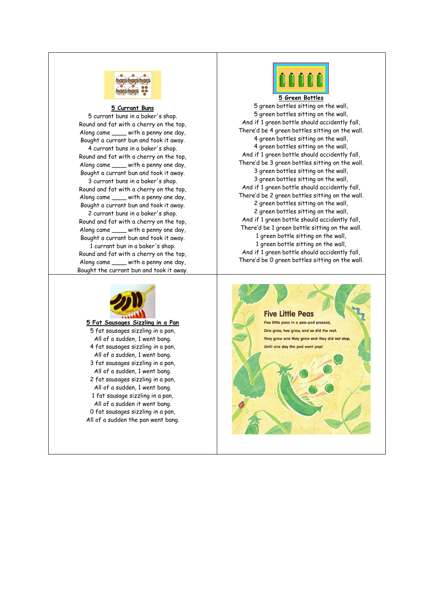

## **5 Currant Buns**

5 currant buns in a baker's shop. Round and fat with a cherry on the top, Along came \_\_\_\_ with a penny one day, Bought a currant bun and took it away.

4 currant buns in a baker's shop. Round and fat with a cherry on the top, Along came \_\_\_\_ with a penny one day, Bought a currant bun and took it away.

3 currant buns in a baker's shop. Round and fat with a cherry on the top, Along came \_\_\_\_ with a penny one day, Bought a currant bun and took it away.

2 currant buns in a baker's shop. Round and fat with a cherry on the top, Along came \_\_\_\_ with a penny one day, Bought a currant bun and took it away.

1 currant bun in a baker's shop. Round and fat with a cherry on the top, Along came \_\_\_\_ with a penny one day, Bought the currant bun and took it away.



**5 Fat Sausages Sizzling in a Pan** 5 fat sausages sizzling in a pan, All of a sudden, 1 went bang. 4 fat sausages sizzling in a pan, All of a sudden, 1 went bang. 3 fat sausages sizzling in a pan, All of a sudden, 1 went bang. 2 fat sausages sizzling in a pan, All of a sudden, 1 went bang. 1 fat sausage sizzling in a pan, All of a sudden it went bang. 0 fat sausages sizzling in a pan, All of a sudden the pan went bang.



**5 Green Bottles** 5 green bottles sitting on the wall, 5 green bottles sitting on the wall, And if 1 green bottle should accidently fall, There'd be 4 green bottles sitting on the wall. 4 green bottles sitting on the wall, 4 green bottles sitting on the wall, And if 1 green bottle should accidently fall, There'd be 3 green bottles sitting on the wall. 3 green bottles sitting on the wall, 3 green bottles sitting on the wall, And if 1 green bottle should accidently fall, There'd be 2 green bottles sitting on the wall. 2 green bottles sitting on the wall, 2 green bottles sitting on the wall, And if 1 green bottle should accidently fall, There'd be 1 green bottle sitting on the wall. 1 green bottle sitting on the wall, 1 green bottle sitting on the wall, And if 1 green bottle should accidently fall, There'd be 0 green bottles sitting on the wall.

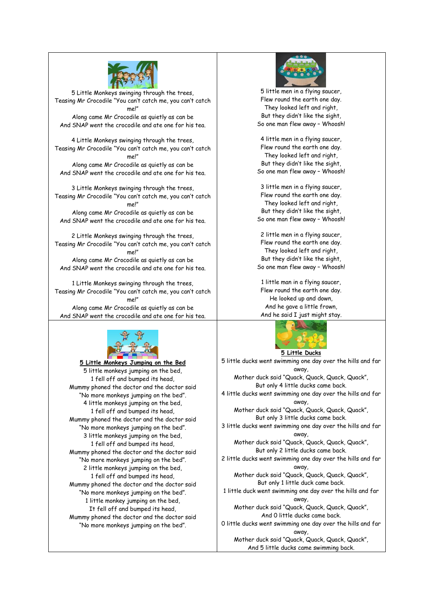

5 Little Monkeys swinging through the trees, Teasing Mr Crocodile "You can't catch me, you can't catch me!" Along came Mr Crocodile as quietly as can be And SNAP went the crocodile and ate one for his tea.

4 Little Monkeys swinging through the trees, Teasing Mr Crocodile "You can't catch me, you can't catch me!" Along came Mr Crocodile as quietly as can be And SNAP went the crocodile and ate one for his tea.

3 Little Monkeys swinging through the trees, Teasing Mr Crocodile "You can't catch me, you can't catch me!" Along came Mr Crocodile as quietly as can be And SNAP went the crocodile and ate one for his tea.

2 Little Monkeys swinging through the trees, Teasing Mr Crocodile "You can't catch me, you can't catch me!"

Along came Mr Crocodile as quietly as can be And SNAP went the crocodile and ate one for his tea.

1 Little Monkeys swinging through the trees, Teasing Mr Crocodile "You can't catch me, you can't catch me!" Along came Mr Crocodile as quietly as can be And SNAP went the crocodile and ate one for his tea.



**5 Little Monkeys Jumping on the Bed** 5 little monkeys jumping on the bed, 1 fell off and bumped its head, Mummy phoned the doctor and the doctor said "No more monkeys jumping on the bed". 4 little monkeys jumping on the bed, 1 fell off and bumped its head, Mummy phoned the doctor and the doctor said "No more monkeys jumping on the bed". 3 little monkeys jumping on the bed, 1 fell off and bumped its head, Mummy phoned the doctor and the doctor said "No more monkeys jumping on the bed". 2 little monkeys jumping on the bed, 1 fell off and bumped its head, Mummy phoned the doctor and the doctor said "No more monkeys jumping on the bed". 1 little monkey jumping on the bed, It fell off and bumped its head, Mummy phoned the doctor and the doctor said "No more monkeys jumping on the bed".



5 little men in a flying saucer, Flew round the earth one day. They looked left and right, But they didn't like the sight, So one man flew away – Whoosh!

4 little men in a flying saucer, Flew round the earth one day. They looked left and right, But they didn't like the sight, So one man flew away – Whoosh!

3 little men in a flying saucer, Flew round the earth one day. They looked left and right, But they didn't like the sight, So one man flew away – Whoosh!

2 little men in a flying saucer, Flew round the earth one day. They looked left and right, But they didn't like the sight, So one man flew away – Whoosh!

1 little man in a flying saucer, Flew round the earth one day. He looked up and down, And he gave a little frown, And he said I just might stay.



5 little ducks went swimming one day over the hills and far away, Mother duck said "Quack, Quack, Quack, Quack", But only 4 little ducks came back. 4 little ducks went swimming one day over the hills and far away, Mother duck said "Quack, Quack, Quack, Quack", But only 3 little ducks came back. 3 little ducks went swimming one day over the hills and far away, Mother duck said "Quack, Quack, Quack, Quack", But only 2 little ducks came back. 2 little ducks went swimming one day over the hills and far away, Mother duck said "Quack, Quack, Quack, Quack", But only 1 little duck came back. 1 little duck went swimming one day over the hills and far away, Mother duck said "Quack, Quack, Quack, Quack", And 0 little ducks came back. 0 little ducks went swimming one day over the hills and far away,

Mother duck said "Quack, Quack, Quack, Quack", And 5 little ducks came swimming back.